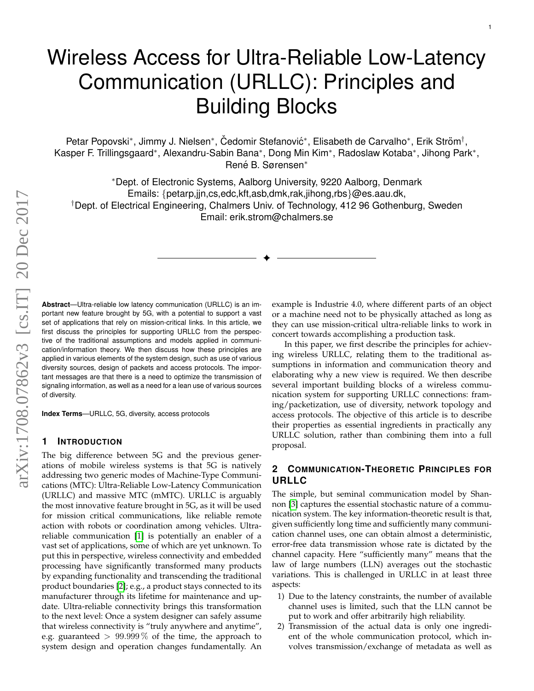# Wireless Access for Ultra-Reliable Low-Latency Communication (URLLC): Principles and Building Blocks

Petar Popovski\*, Jimmy J. Nielsen\*, Čedomir Stefanović\*, Elisabeth de Carvalho\*, Erik Ström<sup>†</sup>, Kasper F. Trillingsgaard\*, Alexandru-Sabin Bana\*, Dong Min Kim\*, Radoslaw Kotaba\*, Jihong Park\*, René B. Sørensen\*

<sup>∗</sup>Dept. of Electronic Systems, Aalborg University, 9220 Aalborg, Denmark Emails: {petarp,jjn,cs,edc,kft,asb,dmk,rak,jihong,rbs}@es.aau.dk, †Dept. of Electrical Engineering, Chalmers Univ. of Technology, 412 96 Gothenburg, Sweden Email: erik.strom@chalmers.se

✦

**Abstract**—Ultra-reliable low latency communication (URLLC) is an important new feature brought by 5G, with a potential to support a vast set of applications that rely on mission-critical links. In this article, we first discuss the principles for supporting URLLC from the perspective of the traditional assumptions and models applied in communication/information theory. We then discuss how these principles are applied in various elements of the system design, such as use of various diversity sources, design of packets and access protocols. The important messages are that there is a need to optimize the transmission of signaling information, as well as a need for a lean use of various sources of diversity.

**Index Terms**—URLLC, 5G, diversity, access protocols

## **1 INTRODUCTION**

The big difference between 5G and the previous generations of mobile wireless systems is that 5G is natively addressing two generic modes of Machine-Type Communications (MTC): Ultra-Reliable Low-Latency Communication (URLLC) and massive MTC (mMTC). URLLC is arguably the most innovative feature brought in 5G, as it will be used for mission critical communications, like reliable remote action with robots or coordination among vehicles. Ultrareliable communication [\[1\]](#page-6-0) is potentially an enabler of a vast set of applications, some of which are yet unknown. To put this in perspective, wireless connectivity and embedded processing have significantly transformed many products by expanding functionality and transcending the traditional product boundaries [\[2\]](#page-6-1); e.g., a product stays connected to its manufacturer through its lifetime for maintenance and update. Ultra-reliable connectivity brings this transformation to the next level: Once a system designer can safely assume that wireless connectivity is "truly anywhere and anytime", e.g. guaranteed  $> 99.999\%$  of the time, the approach to system design and operation changes fundamentally. An example is Industrie 4.0, where different parts of an object or a machine need not to be physically attached as long as they can use mission-critical ultra-reliable links to work in concert towards accomplishing a production task.

In this paper, we first describe the principles for achieving wireless URLLC, relating them to the traditional assumptions in information and communication theory and elaborating why a new view is required. We then describe several important building blocks of a wireless communication system for supporting URLLC connections: framing/packetization, use of diversity, network topology and access protocols. The objective of this article is to describe their properties as essential ingredients in practically any URLLC solution, rather than combining them into a full proposal.

# <span id="page-0-0"></span>**2 COMMUNICATION-THEORETIC PRINCIPLES FOR URLLC**

The simple, but seminal communication model by Shannon [\[3\]](#page-6-2) captures the essential stochastic nature of a communication system. The key information-theoretic result is that, given sufficiently long time and sufficiently many communication channel uses, one can obtain almost a deterministic, error-free data transmission whose rate is dictated by the channel capacity. Here "sufficiently many" means that the law of large numbers (LLN) averages out the stochastic variations. This is challenged in URLLC in at least three aspects:

- 1) Due to the latency constraints, the number of available channel uses is limited, such that the LLN cannot be put to work and offer arbitrarily high reliability.
- 2) Transmission of the actual data is only one ingredient of the whole communication protocol, which involves transmission/exchange of metadata as well as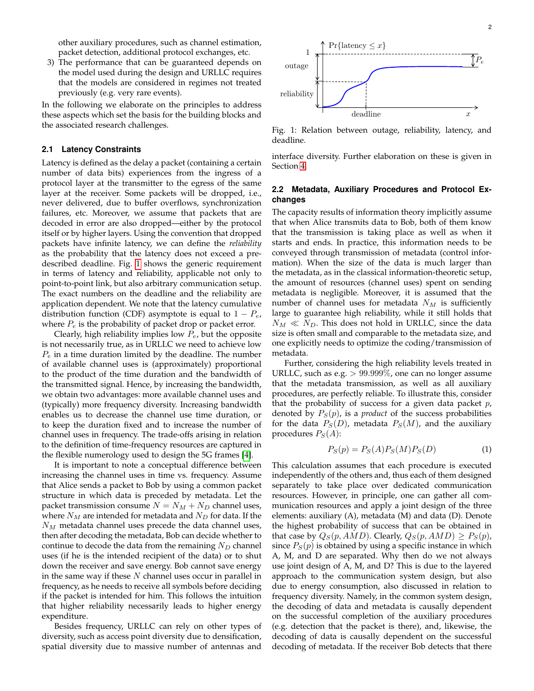other auxiliary procedures, such as channel estimation, packet detection, additional protocol exchanges, etc.

3) The performance that can be guaranteed depends on the model used during the design and URLLC requires that the models are considered in regimes not treated previously (e.g. very rare events).

In the following we elaborate on the principles to address these aspects which set the basis for the building blocks and the associated research challenges.

## <span id="page-1-2"></span>**2.1 Latency Constraints**

Latency is defined as the delay a packet (containing a certain number of data bits) experiences from the ingress of a protocol layer at the transmitter to the egress of the same layer at the receiver. Some packets will be dropped, i.e., never delivered, due to buffer overflows, synchronization failures, etc. Moreover, we assume that packets that are decoded in error are also dropped—either by the protocol itself or by higher layers. Using the convention that dropped packets have infinite latency, we can define the *reliability* as the probability that the latency does not exceed a predescribed deadline. Fig. [1](#page-1-0) shows the generic requirement in terms of latency and reliability, applicable not only to point-to-point link, but also arbitrary communication setup. The exact numbers on the deadline and the reliability are application dependent. We note that the latency cumulative distribution function (CDF) asymptote is equal to  $1 - P_e$ , where  $P_e$  is the probability of packet drop or packet error.

Clearly, high reliability implies low  $P_e$ , but the opposite is not necessarily true, as in URLLC we need to achieve low  $P_e$  in a time duration limited by the deadline. The number of available channel uses is (approximately) proportional to the product of the time duration and the bandwidth of the transmitted signal. Hence, by increasing the bandwidth, we obtain two advantages: more available channel uses and (typically) more frequency diversity. Increasing bandwidth enables us to decrease the channel use time duration, or to keep the duration fixed and to increase the number of channel uses in frequency. The trade-offs arising in relation to the definition of time-frequency resources are captured in the flexible numerology used to design the 5G frames [\[4\]](#page-6-3).

It is important to note a conceptual difference between increasing the channel uses in time vs. frequency. Assume that Alice sends a packet to Bob by using a common packet structure in which data is preceded by metadata. Let the packet transmission consume  $N = N_M + N_D$  channel uses, where  $N_M$  are intended for metadata and  $N_D$  for data. If the  $N_M$  metadata channel uses precede the data channel uses, then after decoding the metadata, Bob can decide whether to continue to decode the data from the remaining  $N_D$  channel uses (if he is the intended recipient of the data) or to shut down the receiver and save energy. Bob cannot save energy in the same way if these  $N$  channel uses occur in parallel in frequency, as he needs to receive all symbols before deciding if the packet is intended for him. This follows the intuition that higher reliability necessarily leads to higher energy expenditure.

Besides frequency, URLLC can rely on other types of diversity, such as access point diversity due to densification, spatial diversity due to massive number of antennas and

<span id="page-1-0"></span>

Fig. 1: Relation between outage, reliability, latency, and deadline.

interface diversity. Further elaboration on these is given in Section [4.](#page-3-0)

# <span id="page-1-1"></span>**2.2 Metadata, Auxiliary Procedures and Protocol Exchanges**

The capacity results of information theory implicitly assume that when Alice transmits data to Bob, both of them know that the transmission is taking place as well as when it starts and ends. In practice, this information needs to be conveyed through transmission of metadata (control information). When the size of the data is much larger than the metadata, as in the classical information-theoretic setup, the amount of resources (channel uses) spent on sending metadata is negligible. Moreover, it is assumed that the number of channel uses for metadata  $N_M$  is sufficiently large to guarantee high reliability, while it still holds that  $N_M \ll N_D$ . This does not hold in URLLC, since the data size is often small and comparable to the metadata size, and one explicitly needs to optimize the coding/transmission of metadata.

Further, considering the high reliability levels treated in URLLC, such as e.g.  $> 99.999\%$ , one can no longer assume that the metadata transmission, as well as all auxiliary procedures, are perfectly reliable. To illustrate this, consider that the probability of success for a given data packet  $p$ , denoted by  $P_S(p)$ , is a *product* of the success probabilities for the data  $P_S(D)$ , metadata  $P_S(M)$ , and the auxiliary procedures  $P_S(A)$ :

$$
P_S(p) = P_S(A)P_S(M)P_S(D)
$$
\n<sup>(1)</sup>

This calculation assumes that each procedure is executed independently of the others and, thus each of them designed separately to take place over dedicated communication resources. However, in principle, one can gather all communication resources and apply a joint design of the three elements: auxiliary (A), metadata (M) and data (D). Denote the highest probability of success that can be obtained in that case by  $Q_S(p, AMD)$ . Clearly,  $Q_S(p, AMD) \geq P_S(p)$ , since  $P_S(p)$  is obtained by using a specific instance in which A, M, and D are separated. Why then do we not always use joint design of A, M, and D? This is due to the layered approach to the communication system design, but also due to energy consumption, also discussed in relation to frequency diversity. Namely, in the common system design, the decoding of data and metadata is causally dependent on the successful completion of the auxiliary procedures (e.g. detection that the packet is there), and, likewise, the decoding of data is causally dependent on the successful decoding of metadata. If the receiver Bob detects that there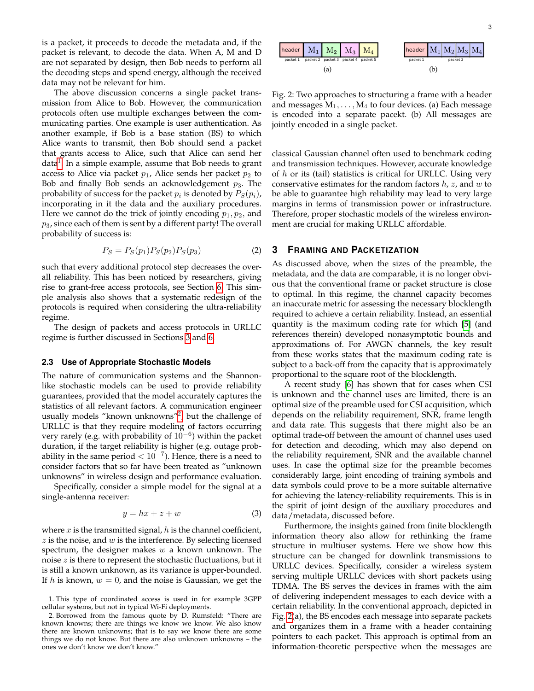is a packet, it proceeds to decode the metadata and, if the packet is relevant, to decode the data. When A, M and D are not separated by design, then Bob needs to perform all the decoding steps and spend energy, although the received data may not be relevant for him.

The above discussion concerns a single packet transmission from Alice to Bob. However, the communication protocols often use multiple exchanges between the communicating parties. One example is user authentication. As another example, if Bob is a base station (BS) to which Alice wants to transmit, then Bob should send a packet that grants access to Alice, such that Alice can send her data $^1$  $^1$ . In a simple example, assume that Bob needs to grant access to Alice via packet  $p_1$ , Alice sends her packet  $p_2$  to Bob and finally Bob sends an acknowledgement  $p_3$ . The probability of success for the packet  $p_i$  is denoted by  $P_S(p_i)$ , incorporating in it the data and the auxiliary procedures. Here we cannot do the trick of jointly encoding  $p_1, p_2$ , and  $p_3$ , since each of them is sent by a different party! The overall probability of success is:

$$
P_S = P_S(p_1) P_S(p_2) P_S(p_3)
$$
 (2)

such that every additional protocol step decreases the overall reliability. This has been noticed by researchers, giving rise to grant-free access protocols, see Section [6.](#page-5-0) This simple analysis also shows that a systematic redesign of the protocols is required when considering the ultra-reliability regime.

The design of packets and access protocols in URLLC regime is further discussed in Sections [3](#page-2-1) and [6.](#page-5-0)

#### **2.3 Use of Appropriate Stochastic Models**

The nature of communication systems and the Shannonlike stochastic models can be used to provide reliability guarantees, provided that the model accurately captures the statistics of all relevant factors. A communication engineer usually models "known unknowns"<sup>[2](#page-2-2)</sup>, but the challenge of URLLC is that they require modeling of factors occurring very rarely (e.g. with probability of  $10^{-6}$ ) within the packet duration, if the target reliability is higher (e.g. outage probability in the same period  $< 10^{-7}$ ). Hence, there is a need to consider factors that so far have been treated as "unknown unknowns" in wireless design and performance evaluation.

Specifically, consider a simple model for the signal at a single-antenna receiver:

$$
y = hx + z + w \tag{3}
$$

where  $x$  is the transmitted signal,  $h$  is the channel coefficient,  $z$  is the noise, and  $w$  is the interference. By selecting licensed spectrum, the designer makes  $w$  a known unknown. The noise  $z$  is there to represent the stochastic fluctuations, but it is still a known unknown, as its variance is upper-bounded. If h is known,  $w = 0$ , and the noise is Gaussian, we get the

<span id="page-2-3"></span>

Fig. 2: Two approaches to structuring a frame with a header and messages  $M_1, \ldots, M_4$  to four devices. (a) Each message is encoded into a separate pacekt. (b) All messages are jointly encoded in a single packet.

classical Gaussian channel often used to benchmark coding and transmission techniques. However, accurate knowledge of  $h$  or its (tail) statistics is critical for URLLC. Using very conservative estimates for the random factors  $h$ ,  $z$ , and  $w$  to be able to guarantee high reliability may lead to very large margins in terms of transmission power or infrastructure. Therefore, proper stochastic models of the wireless environment are crucial for making URLLC affordable.

# <span id="page-2-1"></span>**3 FRAMING AND PACKETIZATION**

As discussed above, when the sizes of the preamble, the metadata, and the data are comparable, it is no longer obvious that the conventional frame or packet structure is close to optimal. In this regime, the channel capacity becomes an inaccurate metric for assessing the necessary blocklength required to achieve a certain reliability. Instead, an essential quantity is the maximum coding rate for which [\[5\]](#page-6-4) (and references therein) developed nonasymptotic bounds and approximations of. For AWGN channels, the key result from these works states that the maximum coding rate is subject to a back-off from the capacity that is approximately proportional to the square root of the blocklength.

A recent study [\[6\]](#page-6-5) has shown that for cases when CSI is unknown and the channel uses are limited, there is an optimal size of the preamble used for CSI acquisition, which depends on the reliability requirement, SNR, frame length and data rate. This suggests that there might also be an optimal trade-off between the amount of channel uses used for detection and decoding, which may also depend on the reliability requirement, SNR and the available channel uses. In case the optimal size for the preamble becomes considerably large, joint encoding of training symbols and data symbols could prove to be a more suitable alternative for achieving the latency-reliability requirements. This is in the spirit of joint design of the auxiliary procedures and data/metadata, discussed before.

Furthermore, the insights gained from finite blocklength information theory also allow for rethinking the frame structure in multiuser systems. Here we show how this structure can be changed for downlink transmissions to URLLC devices. Specifically, consider a wireless system serving multiple URLLC devices with short packets using TDMA. The BS serves the devices in frames with the aim of delivering independent messages to each device with a certain reliability. In the conventional approach, depicted in Fig. [2\(](#page-2-3)a), the BS encodes each message into separate packets and organizes them in a frame with a header containing pointers to each packet. This approach is optimal from an information-theoretic perspective when the messages are

<span id="page-2-0"></span><sup>1.</sup> This type of coordinated access is used in for example 3GPP cellular systems, but not in typical Wi-Fi deployments.

<span id="page-2-2"></span><sup>2.</sup> Borrowed from the famous quote by D. Rumsfeld: "There are known knowns; there are things we know we know. We also know there are known unknowns; that is to say we know there are some things we do not know. But there are also unknown unknowns – the ones we don't know we don't know."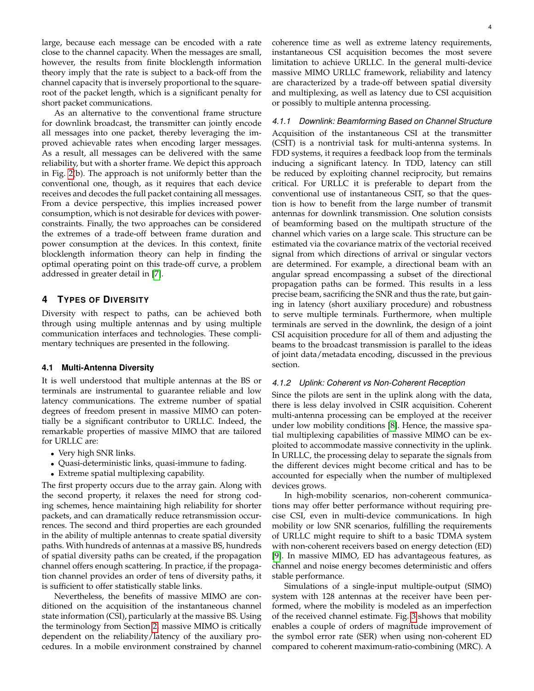large, because each message can be encoded with a rate close to the channel capacity. When the messages are small, however, the results from finite blocklength information theory imply that the rate is subject to a back-off from the channel capacity that is inversely proportional to the squareroot of the packet length, which is a significant penalty for short packet communications.

As an alternative to the conventional frame structure for downlink broadcast, the transmitter can jointly encode all messages into one packet, thereby leveraging the improved achievable rates when encoding larger messages. As a result, all messages can be delivered with the same reliability, but with a shorter frame. We depict this approach in Fig. [2\(](#page-2-3)b). The approach is not uniformly better than the conventional one, though, as it requires that each device receives and decodes the full packet containing all messages. From a device perspective, this implies increased power consumption, which is not desirable for devices with powerconstraints. Finally, the two approaches can be considered the extremes of a trade-off between frame duration and power consumption at the devices. In this context, finite blocklength information theory can help in finding the optimal operating point on this trade-off curve, a problem addressed in greater detail in [\[7\]](#page-6-6).

# <span id="page-3-0"></span>**4 TYPES OF DIVERSITY**

Diversity with respect to paths, can be achieved both through using multiple antennas and by using multiple communication interfaces and technologies. These complimentary techniques are presented in the following.

#### **4.1 Multi-Antenna Diversity**

It is well understood that multiple antennas at the BS or terminals are instrumental to guarantee reliable and low latency communications. The extreme number of spatial degrees of freedom present in massive MIMO can potentially be a significant contributor to URLLC. Indeed, the remarkable properties of massive MIMO that are tailored for URLLC are:

- Very high SNR links.
- Quasi-deterministic links, quasi-immune to fading.
- Extreme spatial multiplexing capability.

The first property occurs due to the array gain. Along with the second property, it relaxes the need for strong coding schemes, hence maintaining high reliability for shorter packets, and can dramatically reduce retransmission occurrences. The second and third properties are each grounded in the ability of multiple antennas to create spatial diversity paths. With hundreds of antennas at a massive BS, hundreds of spatial diversity paths can be created, if the propagation channel offers enough scattering. In practice, if the propagation channel provides an order of tens of diversity paths, it is sufficient to offer statistically stable links.

Nevertheless, the benefits of massive MIMO are conditioned on the acquisition of the instantaneous channel state information (CSI), particularly at the massive BS. Using the terminology from Section [2,](#page-0-0) massive MIMO is critically dependent on the reliability/latency of the auxiliary procedures. In a mobile environment constrained by channel coherence time as well as extreme latency requirements, instantaneous CSI acquisition becomes the most severe limitation to achieve URLLC. In the general multi-device massive MIMO URLLC framework, reliability and latency are characterized by a trade-off between spatial diversity and multiplexing, as well as latency due to CSI acquisition or possibly to multiple antenna processing.

#### *4.1.1 Downlink: Beamforming Based on Channel Structure*

Acquisition of the instantaneous CSI at the transmitter (CSIT) is a nontrivial task for multi-antenna systems. In FDD systems, it requires a feedback loop from the terminals inducing a significant latency. In TDD, latency can still be reduced by exploiting channel reciprocity, but remains critical. For URLLC it is preferable to depart from the conventional use of instantaneous CSIT, so that the question is how to benefit from the large number of transmit antennas for downlink transmission. One solution consists of beamforming based on the multipath structure of the channel which varies on a large scale. This structure can be estimated via the covariance matrix of the vectorial received signal from which directions of arrival or singular vectors are determined. For example, a directional beam with an angular spread encompassing a subset of the directional propagation paths can be formed. This results in a less precise beam, sacrificing the SNR and thus the rate, but gaining in latency (short auxiliary procedure) and robustness to serve multiple terminals. Furthermore, when multiple terminals are served in the downlink, the design of a joint CSI acquisition procedure for all of them and adjusting the beams to the broadcast transmission is parallel to the ideas of joint data/metadata encoding, discussed in the previous section.

#### *4.1.2 Uplink: Coherent vs Non-Coherent Reception*

Since the pilots are sent in the uplink along with the data, there is less delay involved in CSIR acquisition. Coherent multi-antenna processing can be employed at the receiver under low mobility conditions [\[8\]](#page-6-7). Hence, the massive spatial multiplexing capabilities of massive MIMO can be exploited to accommodate massive connectivity in the uplink. In URLLC, the processing delay to separate the signals from the different devices might become critical and has to be accounted for especially when the number of multiplexed devices grows.

In high-mobility scenarios, non-coherent communications may offer better performance without requiring precise CSI, even in multi-device communications. In high mobility or low SNR scenarios, fulfilling the requirements of URLLC might require to shift to a basic TDMA system with non-coherent receivers based on energy detection (ED) [\[9\]](#page-6-8). In massive MIMO, ED has advantageous features, as channel and noise energy becomes deterministic and offers stable performance.

Simulations of a single-input multiple-output (SIMO) system with 128 antennas at the receiver have been performed, where the mobility is modeled as an imperfection of the received channel estimate. Fig. [3](#page-4-0) shows that mobility enables a couple of orders of magnitude improvement of the symbol error rate (SER) when using non-coherent ED compared to coherent maximum-ratio-combining (MRC). A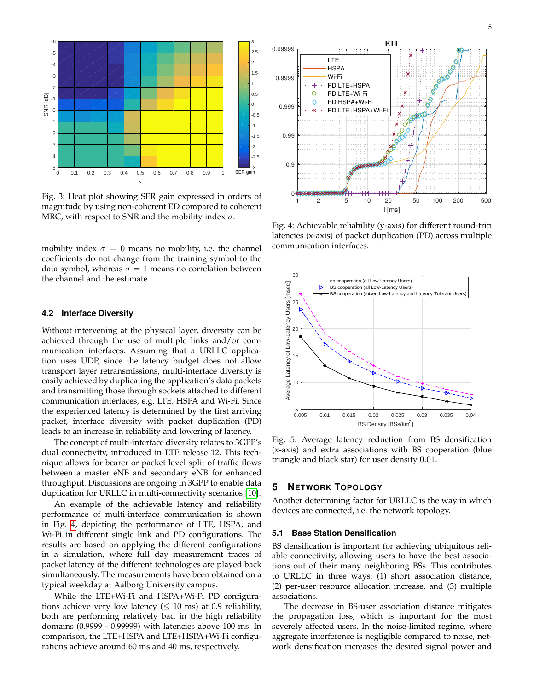

<span id="page-4-0"></span>

Fig. 3: Heat plot showing SER gain expressed in orders of magnitude by using non-coherent ED compared to coherent MRC, with respect to SNR and the mobility index  $\sigma$ .

mobility index  $\sigma = 0$  means no mobility, i.e. the channel coefficients do not change from the training symbol to the data symbol, whereas  $\sigma = 1$  means no correlation between the channel and the estimate.

## **4.2 Interface Diversity**

Without intervening at the physical layer, diversity can be achieved through the use of multiple links and/or communication interfaces. Assuming that a URLLC application uses UDP, since the latency budget does not allow transport layer retransmissions, multi-interface diversity is easily achieved by duplicating the application's data packets and transmitting those through sockets attached to different communication interfaces, e.g. LTE, HSPA and Wi-Fi. Since the experienced latency is determined by the first arriving packet, interface diversity with packet duplication (PD) leads to an increase in reliability and lowering of latency.

The concept of multi-interface diversity relates to 3GPP's dual connectivity, introduced in LTE release 12. This technique allows for bearer or packet level split of traffic flows between a master eNB and secondary eNB for enhanced throughput. Discussions are ongoing in 3GPP to enable data duplication for URLLC in multi-connectivity scenarios [\[10\]](#page-6-9).

An example of the achievable latency and reliability performance of multi-interface communication is shown in Fig. [4,](#page-4-1) depicting the performance of LTE, HSPA, and Wi-Fi in different single link and PD configurations. The results are based on applying the different configurations in a simulation, where full day measurement traces of packet latency of the different technologies are played back simultaneously. The measurements have been obtained on a typical weekday at Aalborg University campus.

While the LTE+Wi-Fi and HSPA+Wi-Fi PD configurations achieve very low latency ( $\leq 10$  ms) at 0.9 reliability, both are performing relatively bad in the high reliability domains (0.9999 - 0.99999) with latencies above 100 ms. In comparison, the LTE+HSPA and LTE+HSPA+Wi-Fi configurations achieve around 60 ms and 40 ms, respectively.

<span id="page-4-1"></span>

Fig. 4: Achievable reliability (y-axis) for different round-trip latencies (x-axis) of packet duplication (PD) across multiple communication interfaces.

<span id="page-4-2"></span>

Fig. 5: Average latency reduction from BS densification (x-axis) and extra associations with BS cooperation (blue triangle and black star) for user density 0.01.

# **5 NETWORK TOPOLOGY**

Another determining factor for URLLC is the way in which devices are connected, i.e. the network topology.

### **5.1 Base Station Densification**

BS densification is important for achieving ubiquitous reliable connectivity, allowing users to have the best associations out of their many neighboring BSs. This contributes to URLLC in three ways: (1) short association distance, (2) per-user resource allocation increase, and (3) multiple associations.

The decrease in BS-user association distance mitigates the propagation loss, which is important for the most severely affected users. In the noise-limited regime, where aggregate interference is negligible compared to noise, network densification increases the desired signal power and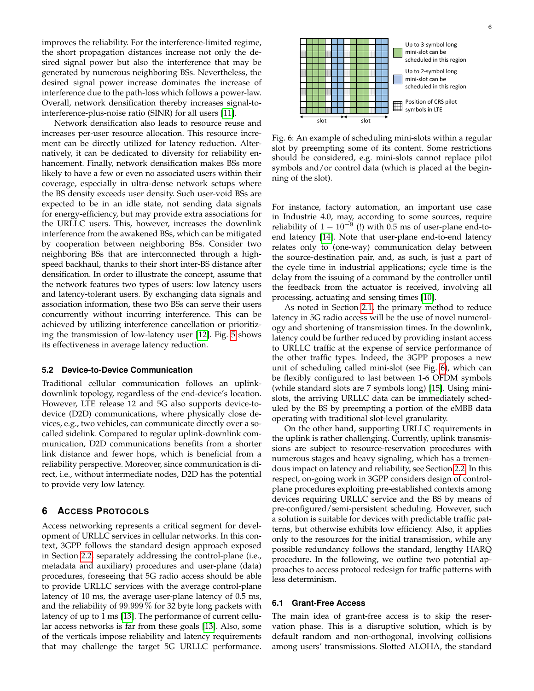improves the reliability. For the interference-limited regime, the short propagation distances increase not only the desired signal power but also the interference that may be generated by numerous neighboring BSs. Nevertheless, the desired signal power increase dominates the increase of interference due to the path-loss which follows a power-law. Overall, network densification thereby increases signal-tointerference-plus-noise ratio (SINR) for all users [\[11\]](#page-6-10).

Network densification also leads to resource reuse and increases per-user resource allocation. This resource increment can be directly utilized for latency reduction. Alternatively, it can be dedicated to diversity for reliability enhancement. Finally, network densification makes BSs more likely to have a few or even no associated users within their coverage, especially in ultra-dense network setups where the BS density exceeds user density. Such user-void BSs are expected to be in an idle state, not sending data signals for energy-efficiency, but may provide extra associations for the URLLC users. This, however, increases the downlink interference from the awakened BSs, which can be mitigated by cooperation between neighboring BSs. Consider two neighboring BSs that are interconnected through a highspeed backhaul, thanks to their short inter-BS distance after densification. In order to illustrate the concept, assume that the network features two types of users: low latency users and latency-tolerant users. By exchanging data signals and association information, these two BSs can serve their users concurrently without incurring interference. This can be achieved by utilizing interference cancellation or prioritizing the transmission of low-latency user [\[12\]](#page-6-11). Fig. [5](#page-4-2) shows its effectiveness in average latency reduction.

#### **5.2 Device-to-Device Communication**

Traditional cellular communication follows an uplinkdownlink topology, regardless of the end-device's location. However, LTE release 12 and 5G also supports device-todevice (D2D) communications, where physically close devices, e.g., two vehicles, can communicate directly over a socalled sidelink. Compared to regular uplink-downlink communication, D2D communications benefits from a shorter link distance and fewer hops, which is beneficial from a reliability perspective. Moreover, since communication is direct, i.e., without intermediate nodes, D2D has the potential to provide very low latency.

# <span id="page-5-0"></span>**6 ACCESS PROTOCOLS**

Access networking represents a critical segment for development of URLLC services in cellular networks. In this context, 3GPP follows the standard design approach exposed in Section [2.2,](#page-1-1) separately addressing the control-plane (i.e., metadata and auxiliary) procedures and user-plane (data) procedures, foreseeing that 5G radio access should be able to provide URLLC services with the average control-plane latency of 10 ms, the average user-plane latency of 0.5 ms, and the reliability of 99.999 % for 32 byte long packets with latency of up to 1 ms [\[13\]](#page-6-12). The performance of current cellular access networks is far from these goals [\[13\]](#page-6-12). Also, some of the verticals impose reliability and latency requirements that may challenge the target 5G URLLC performance.

<span id="page-5-1"></span>

Fig. 6: An example of scheduling mini-slots within a regular slot by preempting some of its content. Some restrictions should be considered, e.g. mini-slots cannot replace pilot symbols and/or control data (which is placed at the beginning of the slot).

For instance, factory automation, an important use case in Industrie 4.0, may, according to some sources, require reliability of  $1 - 10^{-9}$  (!) with 0.5 ms of user-plane end-toend latency [\[14\]](#page-6-13). Note that user-plane end-to-end latency relates only to (one-way) communication delay between the source-destination pair, and, as such, is just a part of the cycle time in industrial applications; cycle time is the delay from the issuing of a command by the controller until the feedback from the actuator is received, involving all processing, actuating and sensing times [\[10\]](#page-6-9).

As noted in Section [2.1,](#page-1-2) the primary method to reduce latency in 5G radio access will be the use of novel numerology and shortening of transmission times. In the downlink, latency could be further reduced by providing instant access to URLLC traffic at the expense of service performance of the other traffic types. Indeed, the 3GPP proposes a new unit of scheduling called mini-slot (see Fig. [6\)](#page-5-1), which can be flexibly configured to last between 1-6 OFDM symbols (while standard slots are 7 symbols long) [\[15\]](#page-6-14). Using minislots, the arriving URLLC data can be immediately scheduled by the BS by preempting a portion of the eMBB data operating with traditional slot-level granularity.

On the other hand, supporting URLLC requirements in the uplink is rather challenging. Currently, uplink transmissions are subject to resource-reservation procedures with numerous stages and heavy signaling, which has a tremendous impact on latency and reliability, see Section [2.2.](#page-1-1) In this respect, on-going work in 3GPP considers design of controlplane procedures exploiting pre-established contexts among devices requiring URLLC service and the BS by means of pre-configured/semi-persistent scheduling. However, such a solution is suitable for devices with predictable traffic patterns, but otherwise exhibits low efficiency. Also, it applies only to the resources for the initial transmission, while any possible redundancy follows the standard, lengthy HARQ procedure. In the following, we outline two potential approaches to access protocol redesign for traffic patterns with less determinism.

## **6.1 Grant-Free Access**

The main idea of grant-free access is to skip the reservation phase. This is a disruptive solution, which is by default random and non-orthogonal, involving collisions among users' transmissions. Slotted ALOHA, the standard